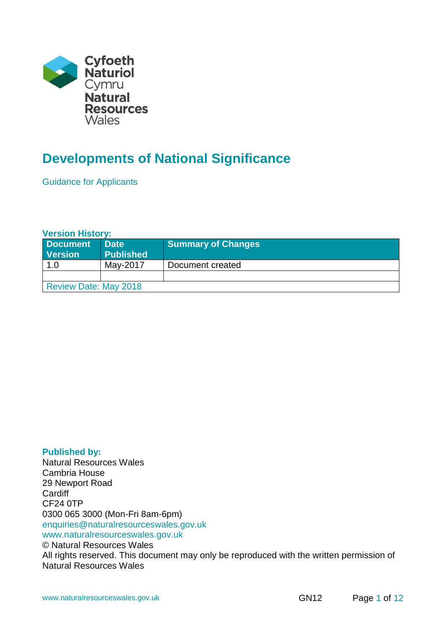

# **Developments of National Significance**

Guidance for Applicants

## **Version History:**

| <b>Document</b><br><b>Version</b> | <b>Date</b><br><b>Published</b> | <b>Summary of Changes</b> |
|-----------------------------------|---------------------------------|---------------------------|
| 1.0                               | May-2017                        | Document created          |
|                                   |                                 |                           |
| <b>Review Date: May 2018</b>      |                                 |                           |

#### **Published by:**

Natural Resources Wales Cambria House 29 Newport Road **Cardiff** CF24 0TP 0300 065 3000 (Mon-Fri 8am-6pm) enquiries@naturalresourceswales.gov.uk www.naturalresourceswales.gov.uk © Natural Resources Wales All rights reserved. This document may only be reproduced with the written permission of Natural Resources Wales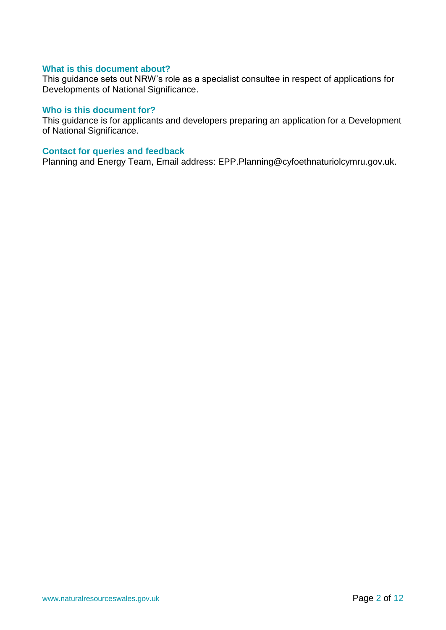#### **What is this document about?**

This guidance sets out NRW's role as a specialist consultee in respect of applications for Developments of National Significance.

#### **Who is this document for?**

This guidance is for applicants and developers preparing an application for a Development of National Significance.

#### **Contact for queries and feedback**

Planning and Energy Team, Email address: EPP.Planning@cyfoethnaturiolcymru.gov.uk.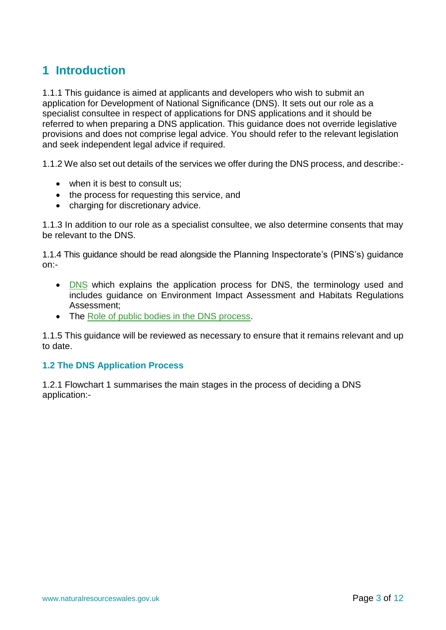# **1 Introduction**

1.1.1 This guidance is aimed at applicants and developers who wish to submit an application for Development of National Significance (DNS). It sets out our role as a specialist consultee in respect of applications for DNS applications and it should be referred to when preparing a DNS application. This guidance does not override legislative provisions and does not comprise legal advice. You should refer to the relevant legislation and seek independent legal advice if required.

1.1.2 We also set out details of the services we offer during the DNS process, and describe:-

- when it is best to consult us;
- the process for requesting this service, and
- charging for discretionary advice.

1.1.3 In addition to our role as a specialist consultee, we also determine consents that may be relevant to the DNS.

1.1.4 This guidance should be read alongside the Planning Inspectorate's (PINS's) guidance on:-

- [DNS](http://gov.wales/topics/planning/developcontrol/developments-of-national-significance/guidance/?lang=en) which explains the application process for DNS, the terminology used and includes guidance on Environment Impact Assessment and Habitats Regulations Assessment;
- The [Role of public bodies in the DNS process.](http://gov.wales/docs/desh/publications/160330-dns-appendix-1-role-of-public-bodies-en.pdf)

1.1.5 This guidance will be reviewed as necessary to ensure that it remains relevant and up to date.

## **1.2 The DNS Application Process**

1.2.1 Flowchart 1 summarises the main stages in the process of deciding a DNS application:-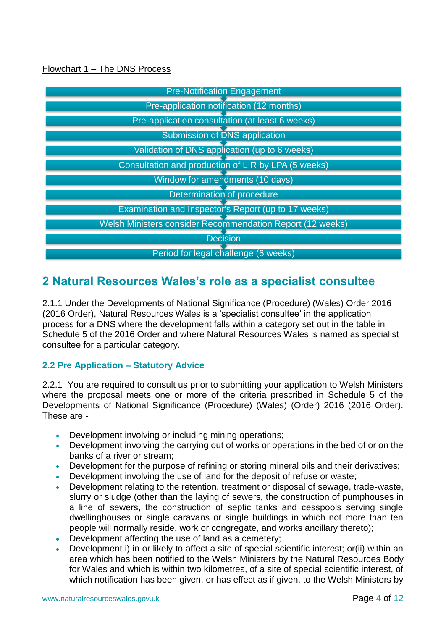## Flowchart 1 – The DNS Process

| <b>Pre-Notification Engagement</b>                               |  |  |
|------------------------------------------------------------------|--|--|
| Pre-application notification (12 months)                         |  |  |
| Pre-application consultation (at least 6 weeks)                  |  |  |
| <b>Submission of DNS application</b>                             |  |  |
| Validation of DNS application (up to 6 weeks)                    |  |  |
| Consultation and production of LIR by LPA (5 weeks)              |  |  |
| Window for amendments (10 days)                                  |  |  |
| Determination of procedure                                       |  |  |
| Examination and Inspector's Report (up to 17 weeks)              |  |  |
| <b>Welsh Ministers consider Recommendation Report (12 weeks)</b> |  |  |
| <b>Decision</b>                                                  |  |  |
| Period for legal challenge (6 weeks)                             |  |  |

## **2 Natural Resources Wales's role as a specialist consultee**

2.1.1 Under the Developments of National Significance (Procedure) (Wales) Order 2016 (2016 Order), Natural Resources Wales is a 'specialist consultee' in the application process for a DNS where the development falls within a category set out in the table in Schedule 5 of the 2016 Order and where Natural Resources Wales is named as specialist consultee for a particular category.

## **2.2 Pre Application – Statutory Advice**

2.2.1 You are required to consult us prior to submitting your application to Welsh Ministers where the proposal meets one or more of the criteria prescribed in Schedule 5 of the Developments of National Significance (Procedure) (Wales) (Order) 2016 (2016 Order). These are:-

- Development involving or including mining operations;
- Development involving the carrying out of works or operations in the bed of or on the banks of a river or stream;
- Development for the purpose of refining or storing mineral oils and their derivatives;
- Development involving the use of land for the deposit of refuse or waste;
- Development relating to the retention, treatment or disposal of sewage, trade-waste, slurry or sludge (other than the laying of sewers, the construction of pumphouses in a line of sewers, the construction of septic tanks and cesspools serving single dwellinghouses or single caravans or single buildings in which not more than ten people will normally reside, work or congregate, and works ancillary thereto);
- Development affecting the use of land as a cemetery;
- Development i) in or likely to affect a site of special scientific interest; or(ii) within an area which has been notified to the Welsh Ministers by the Natural Resources Body for Wales and which is within two kilometres, of a site of special scientific interest, of which notification has been given, or has effect as if given, to the Welsh Ministers by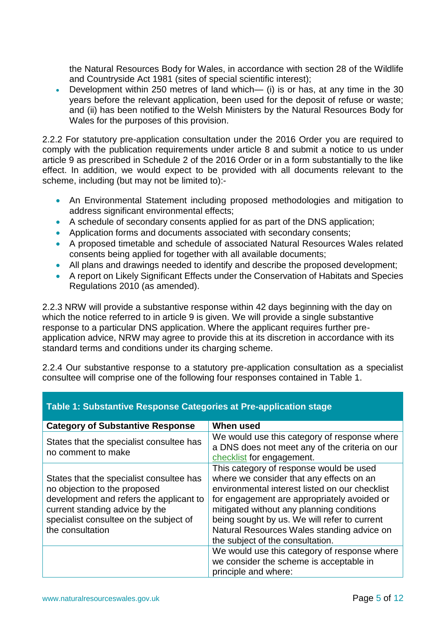the Natural Resources Body for Wales, in accordance with section 28 of the Wildlife and Countryside Act 1981 (sites of special scientific interest);

 Development within 250 metres of land which— (i) is or has, at any time in the 30 years before the relevant application, been used for the deposit of refuse or waste; and (ii) has been notified to the Welsh Ministers by the Natural Resources Body for Wales for the purposes of this provision.

2.2.2 For statutory pre-application consultation under the 2016 Order you are required to comply with the publication requirements under article 8 and submit a notice to us under article 9 as prescribed in Schedule 2 of the 2016 Order or in a form substantially to the like effect. In addition, we would expect to be provided with all documents relevant to the scheme, including (but may not be limited to):-

- An Environmental Statement including proposed methodologies and mitigation to address significant environmental effects;
- A schedule of secondary consents applied for as part of the DNS application;
- Application forms and documents associated with secondary consents;
- A proposed timetable and schedule of associated Natural Resources Wales related consents being applied for together with all available documents;
- All plans and drawings needed to identify and describe the proposed development;
- A report on Likely Significant Effects under the Conservation of Habitats and Species Regulations 2010 (as amended).

2.2.3 NRW will provide a substantive response within 42 days beginning with the day on which the notice referred to in article 9 is given. We will provide a single substantive response to a particular DNS application. Where the applicant requires further preapplication advice, NRW may agree to provide this at its discretion in accordance with its standard terms and conditions under its charging scheme.

2.2.4 Our substantive response to a statutory pre-application consultation as a specialist consultee will comprise one of the following four responses contained in Table 1.

| <b>Category of Substantive Response</b>                                                                                                                                                                             | When used                                                                                                                                                                                                                                                                                                                                                           |
|---------------------------------------------------------------------------------------------------------------------------------------------------------------------------------------------------------------------|---------------------------------------------------------------------------------------------------------------------------------------------------------------------------------------------------------------------------------------------------------------------------------------------------------------------------------------------------------------------|
| States that the specialist consultee has<br>no comment to make                                                                                                                                                      | We would use this category of response where<br>a DNS does not meet any of the criteria on our<br>checklist for engagement.                                                                                                                                                                                                                                         |
| States that the specialist consultee has<br>no objection to the proposed<br>development and refers the applicant to<br>current standing advice by the<br>specialist consultee on the subject of<br>the consultation | This category of response would be used<br>where we consider that any effects on an<br>environmental interest listed on our checklist<br>for engagement are appropriately avoided or<br>mitigated without any planning conditions<br>being sought by us. We will refer to current<br>Natural Resources Wales standing advice on<br>the subject of the consultation. |
|                                                                                                                                                                                                                     | We would use this category of response where<br>we consider the scheme is acceptable in<br>principle and where:                                                                                                                                                                                                                                                     |

## **Table 1: Substantive Response Categories at Pre-application stage**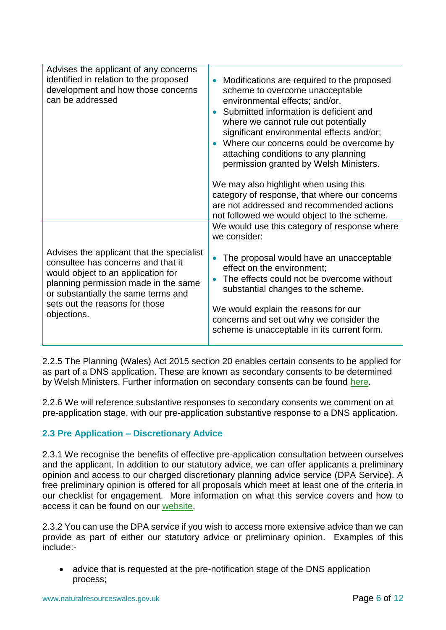| Advises the applicant of any concerns<br>identified in relation to the proposed<br>development and how those concerns<br>can be addressed                                                                                                             | Modifications are required to the proposed<br>scheme to overcome unacceptable<br>environmental effects; and/or,<br>Submitted information is deficient and<br>where we cannot rule out potentially<br>significant environmental effects and/or;<br>Where our concerns could be overcome by<br>attaching conditions to any planning<br>permission granted by Welsh Ministers.<br>We may also highlight when using this<br>category of response, that where our concerns<br>are not addressed and recommended actions<br>not followed we would object to the scheme. |
|-------------------------------------------------------------------------------------------------------------------------------------------------------------------------------------------------------------------------------------------------------|-------------------------------------------------------------------------------------------------------------------------------------------------------------------------------------------------------------------------------------------------------------------------------------------------------------------------------------------------------------------------------------------------------------------------------------------------------------------------------------------------------------------------------------------------------------------|
|                                                                                                                                                                                                                                                       | We would use this category of response where<br>we consider:                                                                                                                                                                                                                                                                                                                                                                                                                                                                                                      |
| Advises the applicant that the specialist<br>consultee has concerns and that it<br>would object to an application for<br>planning permission made in the same<br>or substantially the same terms and<br>sets out the reasons for those<br>objections. | The proposal would have an unacceptable<br>effect on the environment;<br>The effects could not be overcome without<br>substantial changes to the scheme.<br>We would explain the reasons for our<br>concerns and set out why we consider the<br>scheme is unacceptable in its current form.                                                                                                                                                                                                                                                                       |

2.2.5 The Planning (Wales) Act 2015 section 20 enables certain consents to be applied for as part of a DNS application. These are known as secondary consents to be determined by Welsh Ministers. Further information on secondary consents can be found [here.](http://gov.wales/docs/desh/publications/160620-appendix-2-secondary-and-related-consents-en.pdf)

2.2.6 We will reference substantive responses to secondary consents we comment on at pre-application stage, with our pre-application substantive response to a DNS application.

## **2.3 Pre Application – Discretionary Advice**

2.3.1 We recognise the benefits of effective pre-application consultation between ourselves and the applicant. In addition to our statutory advice, we can offer applicants a preliminary opinion and access to our charged discretionary planning advice service (DPA Service). A free preliminary opinion is offered for all proposals which meet at least one of the criteria in our checklist for engagement. More information on what this service covers and how to access it can be found on our [website.](https://naturalresources.wales/guidance-and-advice/business-sectors/planning-and-development/advice-for-developers/our-service-to-developers/?lang=en)

2.3.2 You can use the DPA service if you wish to access more extensive advice than we can provide as part of either our statutory advice or preliminary opinion. Examples of this include:-

 advice that is requested at the pre-notification stage of the DNS application process;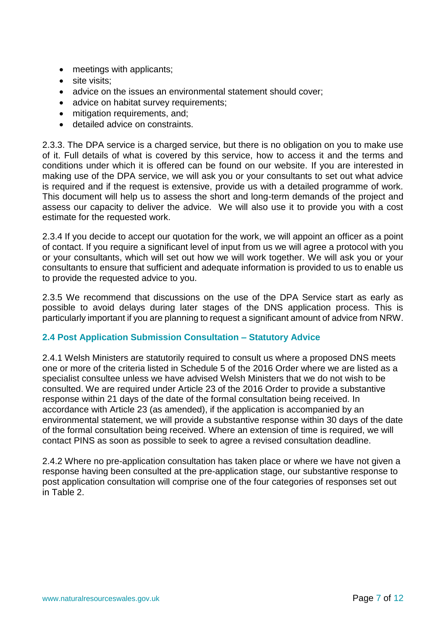- meetings with applicants;
- site visits:
- advice on the issues an environmental statement should cover;
- advice on habitat survey requirements;
- mitigation requirements, and;
- detailed advice on constraints.

2.3.3. The DPA service is a charged service, but there is no obligation on you to make use of it. Full details of what is covered by this service, how to access it and the terms and conditions under which it is offered can be found on our website. If you are interested in making use of the DPA service, we will ask you or your consultants to set out what advice is required and if the request is extensive, provide us with a detailed programme of work. This document will help us to assess the short and long-term demands of the project and assess our capacity to deliver the advice. We will also use it to provide you with a cost estimate for the requested work.

2.3.4 If you decide to accept our quotation for the work, we will appoint an officer as a point of contact. If you require a significant level of input from us we will agree a protocol with you or your consultants, which will set out how we will work together. We will ask you or your consultants to ensure that sufficient and adequate information is provided to us to enable us to provide the requested advice to you.

2.3.5 We recommend that discussions on the use of the DPA Service start as early as possible to avoid delays during later stages of the DNS application process. This is particularly important if you are planning to request a significant amount of advice from NRW.

## **2.4 Post Application Submission Consultation – Statutory Advice**

2.4.1 Welsh Ministers are statutorily required to consult us where a proposed DNS meets one or more of the criteria listed in Schedule 5 of the 2016 Order where we are listed as a specialist consultee unless we have advised Welsh Ministers that we do not wish to be consulted. We are required under Article 23 of the 2016 Order to provide a substantive response within 21 days of the date of the formal consultation being received. In accordance with Article 23 (as amended), if the application is accompanied by an environmental statement, we will provide a substantive response within 30 days of the date of the formal consultation being received. Where an extension of time is required, we will contact PINS as soon as possible to seek to agree a revised consultation deadline.

2.4.2 Where no pre-application consultation has taken place or where we have not given a response having been consulted at the pre-application stage, our substantive response to post application consultation will comprise one of the four categories of responses set out in Table 2.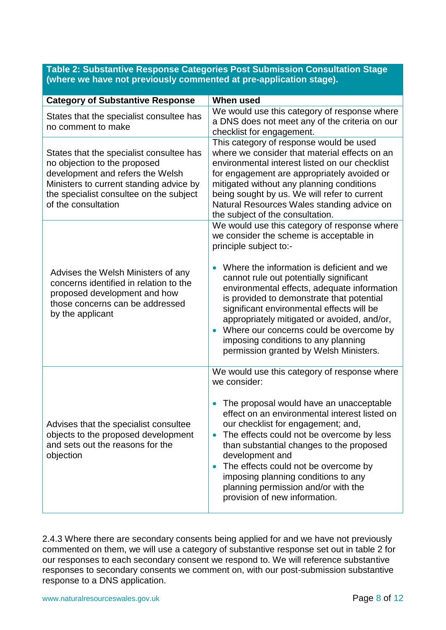## **Table 2: Substantive Response Categories Post Submission Consultation Stage (where we have not previously commented at pre-application stage).**

| <b>Category of Substantive Response</b>                                                                                                                                                                                   | <b>When used</b>                                                                                                                                                                                                                                                                                                                                                                                                                                                                                                                           |
|---------------------------------------------------------------------------------------------------------------------------------------------------------------------------------------------------------------------------|--------------------------------------------------------------------------------------------------------------------------------------------------------------------------------------------------------------------------------------------------------------------------------------------------------------------------------------------------------------------------------------------------------------------------------------------------------------------------------------------------------------------------------------------|
| States that the specialist consultee has<br>no comment to make                                                                                                                                                            | We would use this category of response where<br>a DNS does not meet any of the criteria on our<br>checklist for engagement.                                                                                                                                                                                                                                                                                                                                                                                                                |
| States that the specialist consultee has<br>no objection to the proposed<br>development and refers the Welsh<br>Ministers to current standing advice by<br>the specialist consultee on the subject<br>of the consultation | This category of response would be used<br>where we consider that material effects on an<br>environmental interest listed on our checklist<br>for engagement are appropriately avoided or<br>mitigated without any planning conditions<br>being sought by us. We will refer to current<br>Natural Resources Wales standing advice on<br>the subject of the consultation.                                                                                                                                                                   |
| Advises the Welsh Ministers of any<br>concerns identified in relation to the<br>proposed development and how<br>those concerns can be addressed<br>by the applicant                                                       | We would use this category of response where<br>we consider the scheme is acceptable in<br>principle subject to:-<br>Where the information is deficient and we<br>$\bullet$<br>cannot rule out potentially significant<br>environmental effects, adequate information<br>is provided to demonstrate that potential<br>significant environmental effects will be<br>appropriately mitigated or avoided, and/or,<br>Where our concerns could be overcome by<br>imposing conditions to any planning<br>permission granted by Welsh Ministers. |
| Advises that the specialist consultee<br>objects to the proposed development<br>and sets out the reasons for the<br>objection                                                                                             | We would use this category of response where<br>we consider:<br>The proposal would have an unacceptable<br>$\bullet$<br>effect on an environmental interest listed on<br>our checklist for engagement; and,<br>The effects could not be overcome by less<br>$\bullet$<br>than substantial changes to the proposed<br>development and<br>The effects could not be overcome by<br>$\bullet$<br>imposing planning conditions to any<br>planning permission and/or with the<br>provision of new information.                                   |

2.4.3 Where there are secondary consents being applied for and we have not previously commented on them, we will use a category of substantive response set out in table 2 for our responses to each secondary consent we respond to. We will reference substantive responses to secondary consents we comment on, with our post-submission substantive response to a DNS application.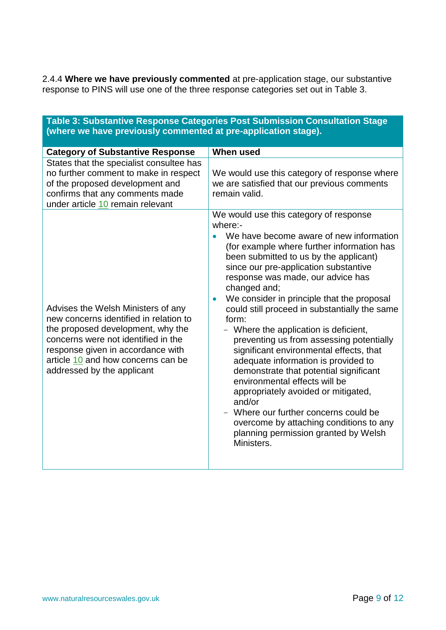2.4.4 **Where we have previously commented** at pre-application stage, our substantive response to PINS will use one of the three response categories set out in Table 3.

**Table 3: Substantive Response Categories Post Submission Consultation Stage** 

| (where we have previously commented at pre-application stage).                                                                                                                                                                                                    |                                                                                                                                                                                                                                                                                                                                                                                                                                                                                                                                                                                                                                                                                                                                                                                                                                         |  |
|-------------------------------------------------------------------------------------------------------------------------------------------------------------------------------------------------------------------------------------------------------------------|-----------------------------------------------------------------------------------------------------------------------------------------------------------------------------------------------------------------------------------------------------------------------------------------------------------------------------------------------------------------------------------------------------------------------------------------------------------------------------------------------------------------------------------------------------------------------------------------------------------------------------------------------------------------------------------------------------------------------------------------------------------------------------------------------------------------------------------------|--|
| <b>Category of Substantive Response</b>                                                                                                                                                                                                                           | <b>When used</b>                                                                                                                                                                                                                                                                                                                                                                                                                                                                                                                                                                                                                                                                                                                                                                                                                        |  |
| States that the specialist consultee has<br>no further comment to make in respect<br>of the proposed development and<br>confirms that any comments made<br>under article 10 remain relevant                                                                       | We would use this category of response where<br>we are satisfied that our previous comments<br>remain valid.                                                                                                                                                                                                                                                                                                                                                                                                                                                                                                                                                                                                                                                                                                                            |  |
| Advises the Welsh Ministers of any<br>new concerns identified in relation to<br>the proposed development, why the<br>concerns were not identified in the<br>response given in accordance with<br>article 10 and how concerns can be<br>addressed by the applicant | We would use this category of response<br>where:-<br>We have become aware of new information<br>(for example where further information has<br>been submitted to us by the applicant)<br>since our pre-application substantive<br>response was made, our advice has<br>changed and;<br>We consider in principle that the proposal<br>could still proceed in substantially the same<br>form:<br>- Where the application is deficient,<br>preventing us from assessing potentially<br>significant environmental effects, that<br>adequate information is provided to<br>demonstrate that potential significant<br>environmental effects will be<br>appropriately avoided or mitigated,<br>and/or<br>- Where our further concerns could be<br>overcome by attaching conditions to any<br>planning permission granted by Welsh<br>Ministers. |  |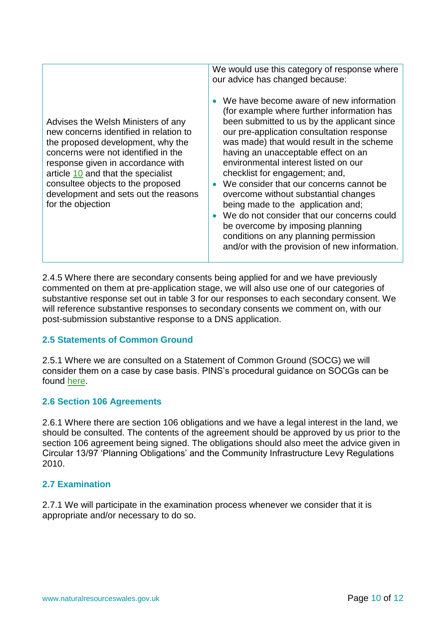| Advises the Welsh Ministers of any<br>new concerns identified in relation to<br>the proposed development, why the<br>concerns were not identified in the<br>response given in accordance with<br>article 10 and that the specialist<br>consultee objects to the proposed<br>development and sets out the reasons<br>for the objection | We would use this category of response where<br>our advice has changed because:<br>We have become aware of new information<br>(for example where further information has<br>been submitted to us by the applicant since<br>our pre-application consultation response<br>was made) that would result in the scheme<br>having an unacceptable effect on an<br>environmental interest listed on our<br>checklist for engagement; and,<br>We consider that our concerns cannot be<br>overcome without substantial changes<br>being made to the application and;<br>We do not consider that our concerns could<br>be overcome by imposing planning<br>conditions on any planning permission<br>and/or with the provision of new information. |
|---------------------------------------------------------------------------------------------------------------------------------------------------------------------------------------------------------------------------------------------------------------------------------------------------------------------------------------|-----------------------------------------------------------------------------------------------------------------------------------------------------------------------------------------------------------------------------------------------------------------------------------------------------------------------------------------------------------------------------------------------------------------------------------------------------------------------------------------------------------------------------------------------------------------------------------------------------------------------------------------------------------------------------------------------------------------------------------------|
|---------------------------------------------------------------------------------------------------------------------------------------------------------------------------------------------------------------------------------------------------------------------------------------------------------------------------------------|-----------------------------------------------------------------------------------------------------------------------------------------------------------------------------------------------------------------------------------------------------------------------------------------------------------------------------------------------------------------------------------------------------------------------------------------------------------------------------------------------------------------------------------------------------------------------------------------------------------------------------------------------------------------------------------------------------------------------------------------|

2.4.5 Where there are secondary consents being applied for and we have previously commented on them at pre-application stage, we will also use one of our categories of substantive response set out in table 3 for our responses to each secondary consent. We will reference substantive responses to secondary consents we comment on, with our post-submission substantive response to a DNS application.

## **2.5 Statements of Common Ground**

2.5.1 Where we are consulted on a Statement of Common Ground (SOCG) we will consider them on a case by case basis. PINS's procedural guidance on SOCGs can be found [here.](http://gov.wales/docs/desh/publications/160330-dns-appendix-6-statements-of-common-ground-en.pdf)

## **2.6 Section 106 Agreements**

2.6.1 Where there are section 106 obligations and we have a legal interest in the land, we should be consulted. The contents of the agreement should be approved by us prior to the section 106 agreement being signed. The obligations should also meet the advice given in Circular 13/97 'Planning Obligations' and the Community Infrastructure Levy Regulations 2010.

## **2.7 Examination**

2.7.1 We will participate in the examination process whenever we consider that it is appropriate and/or necessary to do so.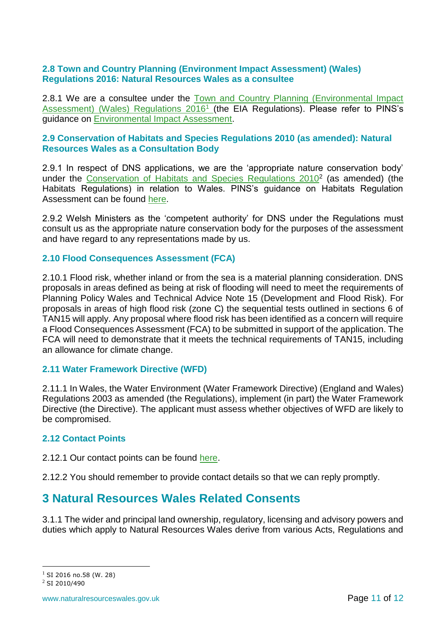## **2.8 Town and Country Planning (Environment Impact Assessment) (Wales) Regulations 2016: Natural Resources Wales as a consultee**

2.8.1 We are a consultee under the [Town and Country Planning \(Environmental Impact](http://www.legislation.gov.uk/wsi/2016/58/contents/made)  [Assessment\) \(Wales\) Regulations 2016](http://www.legislation.gov.uk/wsi/2016/58/contents/made)<sup>1</sup> (the EIA Regulations). Please refer to PINS's guidance on [Environmental Impact Assessment.](http://gov.wales/docs/desh/publications/160330-dns-appendix-3-environmental-impact-assessment-en.pdf)

## **2.9 Conservation of Habitats and Species Regulations 2010 (as amended): Natural Resources Wales as a Consultation Body**

2.9.1 In respect of DNS applications, we are the 'appropriate nature conservation body' under the Conservation of Habitats [and Species Regulations 2010](http://www.google.co.uk/url?sa=t&rct=j&q=&esrc=s&frm=1&source=web&cd=1&cad=rja&uact=8&ved=0CC4QFjAA&url=http%3A%2F%2Fwww.legislation.gov.uk%2Fuksi%2F2010%2F490%2Fcontents%2Fmade&ei=oUeHU5mxDOSd0QWezoDYCQ&usg=AFQjCNFJ-6kPBHAjMgTnqE7r2QUmzYncbw&bvm=bv.67720277,d.d2k)<sup>2</sup> (as amended) (the Habitats Regulations) in relation to Wales. PINS's guidance on Habitats Regulation Assessment can be found [here.](http://gov.wales/docs/desh/publications/160330-dns-appendix-4-habitats-regulations-assessment-en.pdf)

2.9.2 Welsh Ministers as the 'competent authority' for DNS under the Regulations must consult us as the appropriate nature conservation body for the purposes of the assessment and have regard to any representations made by us.

## **2.10 Flood Consequences Assessment (FCA)**

2.10.1 Flood risk, whether inland or from the sea is a material planning consideration. DNS proposals in areas defined as being at risk of flooding will need to meet the requirements of Planning Policy Wales and Technical Advice Note 15 (Development and Flood Risk). For proposals in areas of high flood risk (zone C) the sequential tests outlined in sections 6 of TAN15 will apply. Any proposal where flood risk has been identified as a concern will require a Flood Consequences Assessment (FCA) to be submitted in support of the application. The FCA will need to demonstrate that it meets the technical requirements of TAN15, including an allowance for climate change.

## **2.11 Water Framework Directive (WFD)**

2.11.1 In Wales, the Water Environment (Water Framework Directive) (England and Wales) Regulations 2003 as amended (the Regulations), implement (in part) the Water Framework Directive (the Directive). The applicant must assess whether objectives of WFD are likely to be compromised.

## **2.12 Contact Points**

2.12.1 Our contact points can be found [here.](https://naturalresources.wales/guidance-and-advice/business-sectors/planning-and-development/contact-details-for-planning-enquiry/?lang=en)

2.12.2 You should remember to provide contact details so that we can reply promptly.

## **3 Natural Resources Wales Related Consents**

3.1.1 The wider and principal land ownership, regulatory, licensing and advisory powers and duties which apply to Natural Resources Wales derive from various Acts, Regulations and

 $1$  SI 2016 no.58 (W. 28)

1

<sup>2</sup> SI 2010/490